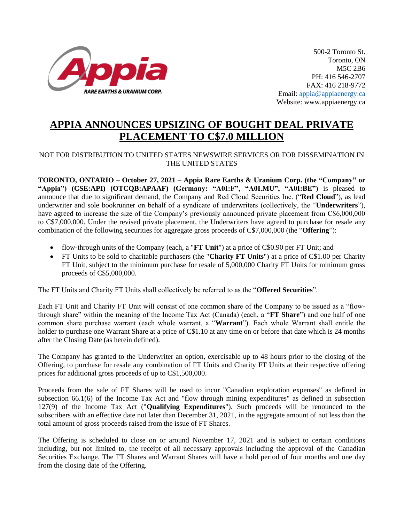

500-2 Toronto St. Toronto, ON M5C 2B6 PH: 416 546-2707 FAX: 416 218-9772 Email: [appia@appiaenergy.ca](mailto:appia@appiaenergy.ca) Website: www.appiaenergy.ca

## **APPIA ANNOUNCES UPSIZING OF BOUGHT DEAL PRIVATE PLACEMENT TO C\$7.0 MILLION**

## NOT FOR DISTRIBUTION TO UNITED STATES NEWSWIRE SERVICES OR FOR DISSEMINATION IN THE UNITED STATES

**TORONTO, ONTARIO – October 27, 2021 – Appia Rare Earths & Uranium Corp. (the "Company" or "Appia") (CSE:API) (OTCQB:APAAF) (Germany: "A0I:F", "A0I.MU", "A0I:BE")** is pleased to announce that due to significant demand, the Company and Red Cloud Securities Inc. ("**Red Cloud**"), as lead underwriter and sole bookrunner on behalf of a syndicate of underwriters (collectively, the "**Underwriters**"), have agreed to increase the size of the Company's previously announced private placement from C\$6,000,000 to C\$7,000,000. Under the revised private placement, the Underwriters have agreed to purchase for resale any combination of the following securities for aggregate gross proceeds of C\$7,000,000 (the "**Offering**"):

- flow-through units of the Company (each, a "**FT Unit**") at a price of C\$0.90 per FT Unit; and
- FT Units to be sold to charitable purchasers (the "**Charity FT Units**") at a price of C\$1.00 per Charity FT Unit, subject to the minimum purchase for resale of 5,000,000 Charity FT Units for minimum gross proceeds of C\$5,000,000.

The FT Units and Charity FT Units shall collectively be referred to as the "**Offered Securities**".

Each FT Unit and Charity FT Unit will consist of one common share of the Company to be issued as a "flowthrough share" within the meaning of the Income Tax Act (Canada) (each, a "**FT Share**") and one half of one common share purchase warrant (each whole warrant, a "**Warrant**"). Each whole Warrant shall entitle the holder to purchase one Warrant Share at a price of C\$1.10 at any time on or before that date which is 24 months after the Closing Date (as herein defined).

The Company has granted to the Underwriter an option, exercisable up to 48 hours prior to the closing of the Offering, to purchase for resale any combination of FT Units and Charity FT Units at their respective offering prices for additional gross proceeds of up to C\$1,500,000.

Proceeds from the sale of FT Shares will be used to incur "Canadian exploration expenses" as defined in subsection 66.1(6) of the Income Tax Act and "flow through mining expenditures" as defined in subsection 127(9) of the Income Tax Act ("**Qualifying Expenditures**"). Such proceeds will be renounced to the subscribers with an effective date not later than December 31, 2021, in the aggregate amount of not less than the total amount of gross proceeds raised from the issue of FT Shares.

The Offering is scheduled to close on or around November 17, 2021 and is subject to certain conditions including, but not limited to, the receipt of all necessary approvals including the approval of the Canadian Securities Exchange. The FT Shares and Warrant Shares will have a hold period of four months and one day from the closing date of the Offering.